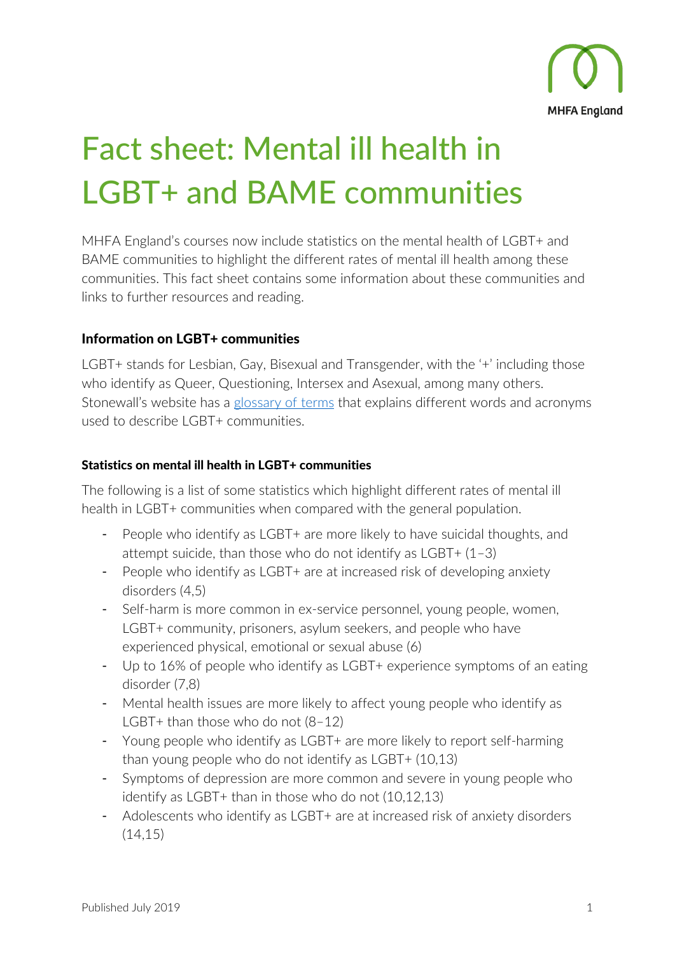

# Fact sheet: Mental ill health in LGBT+ and BAME communities

MHFA England's courses now include statistics on the mental health of LGBT+ and BAME communities to highlight the different rates of mental ill health among these communities. This fact sheet contains some information about these communities and links to further resources and reading.

# Information on LGBT+ communities

LGBT+ stands for Lesbian, Gay, Bisexual and Transgender, with the '+' including those who identify as Queer, Questioning, Intersex and Asexual, among many others. Stonewall's website has a [glossary of terms](https://www.stonewall.org.uk/help-advice/glossary-terms) that explains different words and acronyms used to describe LGBT+ communities.

#### Statistics on mental ill health in LGBT+ communities

The following is a list of some statistics which highlight different rates of mental ill health in LGBT+ communities when compared with the general population.

- People who identify as LGBT+ are more likely to have suicidal thoughts, and attempt suicide, than those who do not identify as  $LGBT+ (1-3)$
- People who identify as LGBT+ are at increased risk of developing anxiety disorders (4,5)
- Self-harm is more common in ex-service personnel, young people, women, LGBT+ community, prisoners, asylum seekers, and people who have experienced physical, emotional or sexual abuse (6)
- Up to 16% of people who identify as LGBT+ experience symptoms of an eating disorder (7,8)
- Mental health issues are more likely to affect young people who identify as LGBT+ than those who do not  $(8-12)$
- Young people who identify as LGBT+ are more likely to report self-harming than young people who do not identify as LGBT+ (10,13)
- Symptoms of depression are more common and severe in young people who identify as LGBT+ than in those who do not (10,12,13)
- Adolescents who identify as LGBT+ are at increased risk of anxiety disorders  $(14, 15)$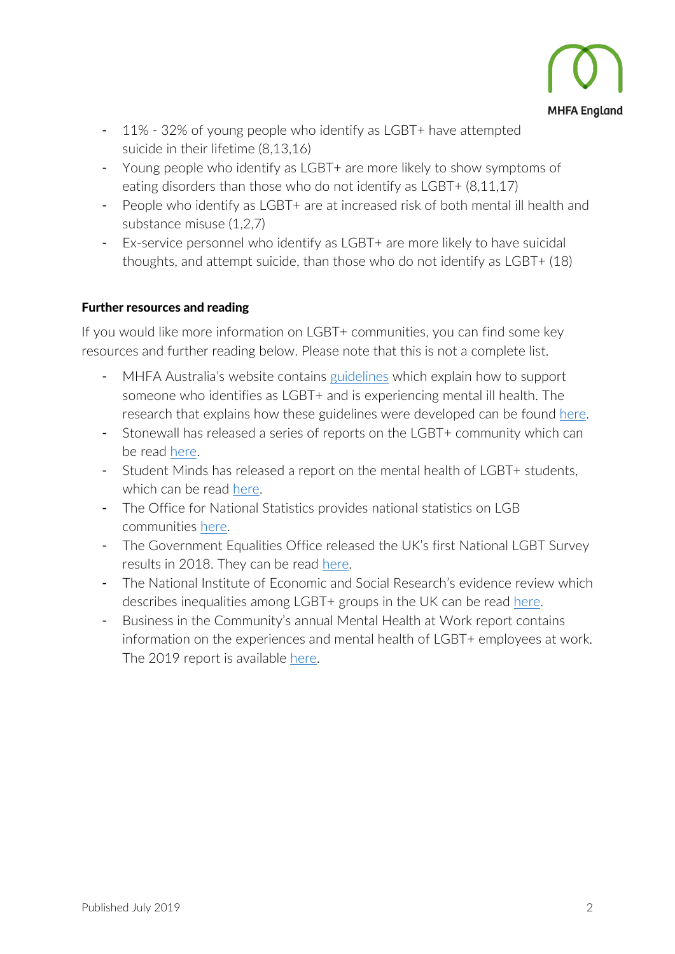

- 11% 32% of young people who identify as LGBT+ have attempted suicide in their lifetime (8,13,16)
- Young people who identify as LGBT+ are more likely to show symptoms of eating disorders than those who do not identify as LGBT+ (8,11,17)
- People who identify as LGBT+ are at increased risk of both mental ill health and substance misuse (1,2,7)
- Ex-service personnel who identify as LGBT+ are more likely to have suicidal thoughts, and attempt suicide, than those who do not identify as LGBT+ (18)

## Further resources and reading

If you would like more information on LGBT+ communities, you can find some key resources and further reading below. Please note that this is not a complete list.

- MHFA Australia's website contains [guidelines](https://mhfa.com.au/sites/default/files/considerations-when-providing-MHFA-to-an-LGBTIQ-person.pdf) which explain how to support someone who identifies as LGBT+ and is experiencing mental ill health. The research that explains how these guidelines were developed can be found [here.](https://www.tandfonline.com/doi/full/10.1080/18387357.2017.1279017)
- Stonewall has released a series of reports on the LGBT+ community which can be read [here.](https://www.stonewall.org.uk/get-involved/stonewall-research)
- Student Minds has released a report on the mental health of LGBT+ students, which can be read [here.](https://www.studentminds.org.uk/uploads/3/7/8/4/3784584/180730_lgbtq_report_final.pdf)
- The Office for National Statistics provides national statistics on LGB communities [here.](https://www.ons.gov.uk/peoplepopulationandcommunity/culturalidentity/sexuality)
- The Government Equalities Office released the UK's first National LGBT Survey results in 2018. They can be read [here.](https://assets.publishing.service.gov.uk/government/uploads/system/uploads/attachment_data/file/721704/LGBT-survey-research-report.pdf)
- The National Institute of Economic and Social Research's evidence review which describes inequalities among LGBT+ groups in the UK can be read [here.](https://assets.publishing.service.gov.uk/government/uploads/system/uploads/attachment_data/file/539682/160719_REPORT_LGBT_evidence_review_NIESR_FINALPDF.pdf)
- Business in the Community's annual Mental Health at Work report contains information on the experiences and mental health of LGBT+ employees at work. The 2019 report is available [here.](https://www.bitc.org.uk/report/mental-health-at-work-2019-time-to-take-ownership/)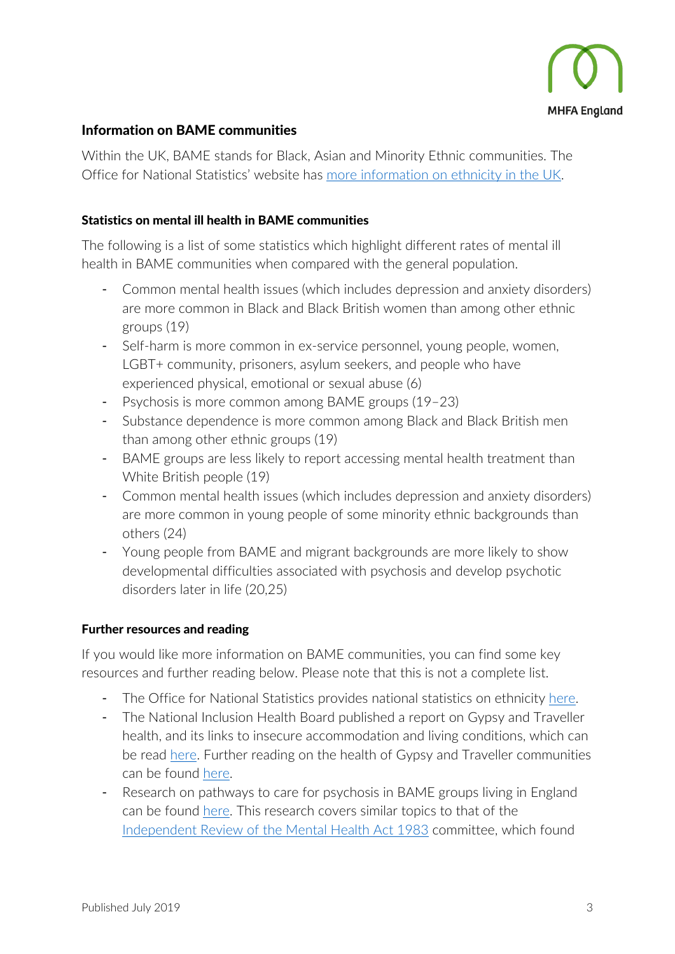

# Information on BAME communities

Within the UK, BAME stands for Black, Asian and Minority Ethnic communities. The Office for National Statistics' website has [more information on ethnicity in the UK.](https://www.ons.gov.uk/peoplepopulationandcommunity/culturalidentity/ethnicity)

## Statistics on mental ill health in BAME communities

The following is a list of some statistics which highlight different rates of mental ill health in BAME communities when compared with the general population.

- Common mental health issues (which includes depression and anxiety disorders) are more common in Black and Black British women than among other ethnic groups (19)
- Self-harm is more common in ex-service personnel, young people, women, LGBT+ community, prisoners, asylum seekers, and people who have experienced physical, emotional or sexual abuse (6)
- Psychosis is more common among BAME groups (19–23)
- Substance dependence is more common among Black and Black British men than among other ethnic groups (19)
- BAME groups are less likely to report accessing mental health treatment than White British people (19)
- Common mental health issues (which includes depression and anxiety disorders) are more common in young people of some minority ethnic backgrounds than others (24)
- Young people from BAME and migrant backgrounds are more likely to show developmental difficulties associated with psychosis and develop psychotic disorders later in life (20,25)

#### Further resources and reading

If you would like more information on BAME communities, you can find some key resources and further reading below. Please note that this is not a complete list.

- The Office for National Statistics provides national statistics on ethnicity [here.](https://www.ons.gov.uk/peoplepopulationandcommunity/culturalidentity/ethnicity)
- The National Inclusion Health Board published a report on Gypsy and Traveller health, and its links to insecure accommodation and living conditions, which can be read [here.](https://www.gov.uk/government/publications/gypsy-and-traveller-health-accommodation-and-living-environment) Further reading on the health of Gypsy and Traveller communities can be found [here.](https://www.mdpi.com/1660-4601/16/3/379)
- Research on pathways to care for psychosis in BAME groups living in England can be found [here.](https://bmcmedicine.biomedcentral.com/articles/10.1186/s12916-018-1201-9) This research covers similar topics to that of the [Independent Review of the Mental Health Act](https://www.gov.uk/government/publications/modernising-the-mental-health-act-final-report-from-the-independent-review) 1983 committee, which found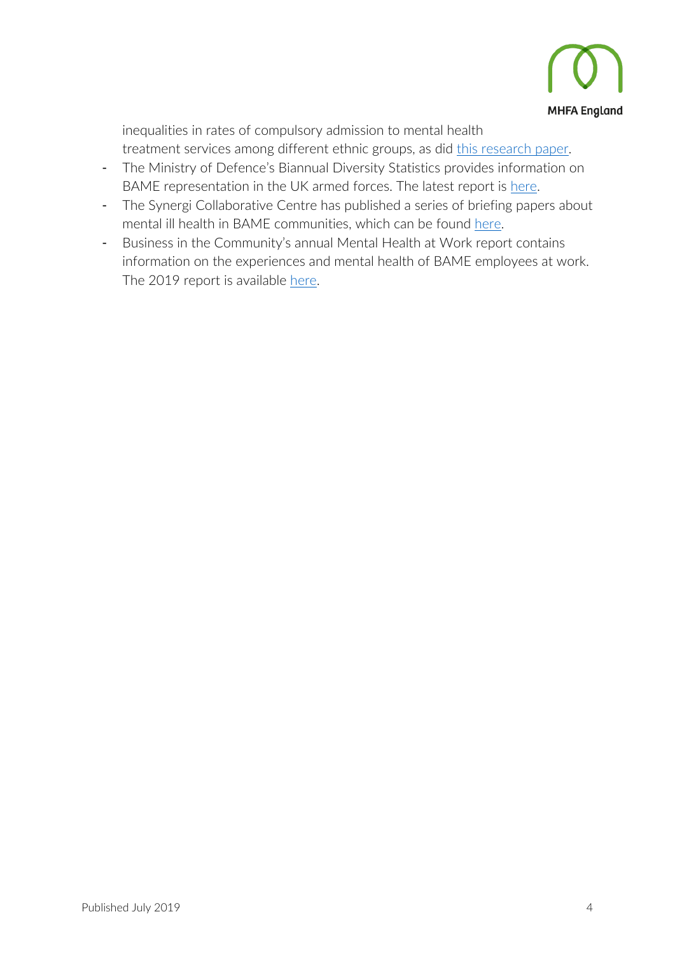

inequalities in rates of compulsory admission to mental health treatment services among different ethnic groups, as did [this research paper.](https://www.sciencedirect.com/science/article/pii/S2215036619300276)

- The Ministry of Defence's Biannual Diversity Statistics provides information on BAME representation in the UK armed forces. The latest report is [here.](https://www.gov.uk/government/statistics/uk-armed-forces-biannual-diversity-statistics-2019)
- The Synergi Collaborative Centre has published a series of briefing papers about mental ill health in BAME communities, which can be found [here.](https://synergicollaborativecentre.co.uk/briefing-papers/)
- Business in the Community's annual Mental Health at Work report contains information on the experiences and mental health of BAME employees at work. The 2019 report is available [here.](https://www.bitc.org.uk/report/mental-health-at-work-2019-time-to-take-ownership/)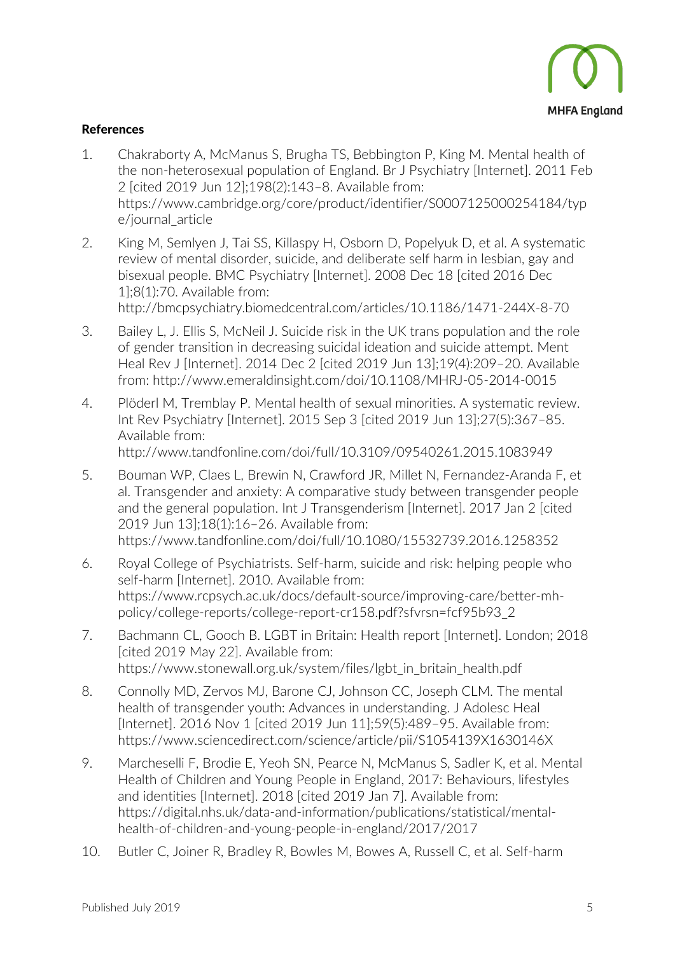

## References

- 1. Chakraborty A, McManus S, Brugha TS, Bebbington P, King M. Mental health of the non-heterosexual population of England. Br J Psychiatry [Internet]. 2011 Feb 2 [cited 2019 Jun 12];198(2):143–8. Available from: https://www.cambridge.org/core/product/identifier/S0007125000254184/typ e/journal\_article
- 2. King M, Semlyen J, Tai SS, Killaspy H, Osborn D, Popelyuk D, et al. A systematic review of mental disorder, suicide, and deliberate self harm in lesbian, gay and bisexual people. BMC Psychiatry [Internet]. 2008 Dec 18 [cited 2016 Dec 1];8(1):70. Available from: http://bmcpsychiatry.biomedcentral.com/articles/10.1186/1471-244X-8-70
- 3. Bailey L, J. Ellis S, McNeil J. Suicide risk in the UK trans population and the role of gender transition in decreasing suicidal ideation and suicide attempt. Ment Heal Rev J [Internet]. 2014 Dec 2 [cited 2019 Jun 13];19(4):209–20. Available from: http://www.emeraldinsight.com/doi/10.1108/MHRJ-05-2014-0015
- 4. Plöderl M, Tremblay P. Mental health of sexual minorities. A systematic review. Int Rev Psychiatry [Internet]. 2015 Sep 3 [cited 2019 Jun 13];27(5):367–85. Available from: http://www.tandfonline.com/doi/full/10.3109/09540261.2015.1083949
- 5. Bouman WP, Claes L, Brewin N, Crawford JR, Millet N, Fernandez-Aranda F, et al. Transgender and anxiety: A comparative study between transgender people and the general population. Int J Transgenderism [Internet]. 2017 Jan 2 [cited 2019 Jun 13];18(1):16–26. Available from: https://www.tandfonline.com/doi/full/10.1080/15532739.2016.1258352
- 6. Royal College of Psychiatrists. Self-harm, suicide and risk: helping people who self-harm [Internet]. 2010. Available from: https://www.rcpsych.ac.uk/docs/default-source/improving-care/better-mhpolicy/college-reports/college-report-cr158.pdf?sfvrsn=fcf95b93\_2
- 7. Bachmann CL, Gooch B. LGBT in Britain: Health report [Internet]. London; 2018 [cited 2019 May 22]. Available from: https://www.stonewall.org.uk/system/files/lgbt\_in\_britain\_health.pdf
- 8. Connolly MD, Zervos MJ, Barone CJ, Johnson CC, Joseph CLM. The mental health of transgender youth: Advances in understanding. J Adolesc Heal [Internet]. 2016 Nov 1 [cited 2019 Jun 11];59(5):489-95. Available from: https://www.sciencedirect.com/science/article/pii/S1054139X1630146X
- 9. Marcheselli F, Brodie E, Yeoh SN, Pearce N, McManus S, Sadler K, et al. Mental Health of Children and Young People in England, 2017: Behaviours, lifestyles and identities [Internet]. 2018 [cited 2019 Jan 7]. Available from: https://digital.nhs.uk/data-and-information/publications/statistical/mentalhealth-of-children-and-young-people-in-england/2017/2017
- 10. Butler C, Joiner R, Bradley R, Bowles M, Bowes A, Russell C, et al. Self-harm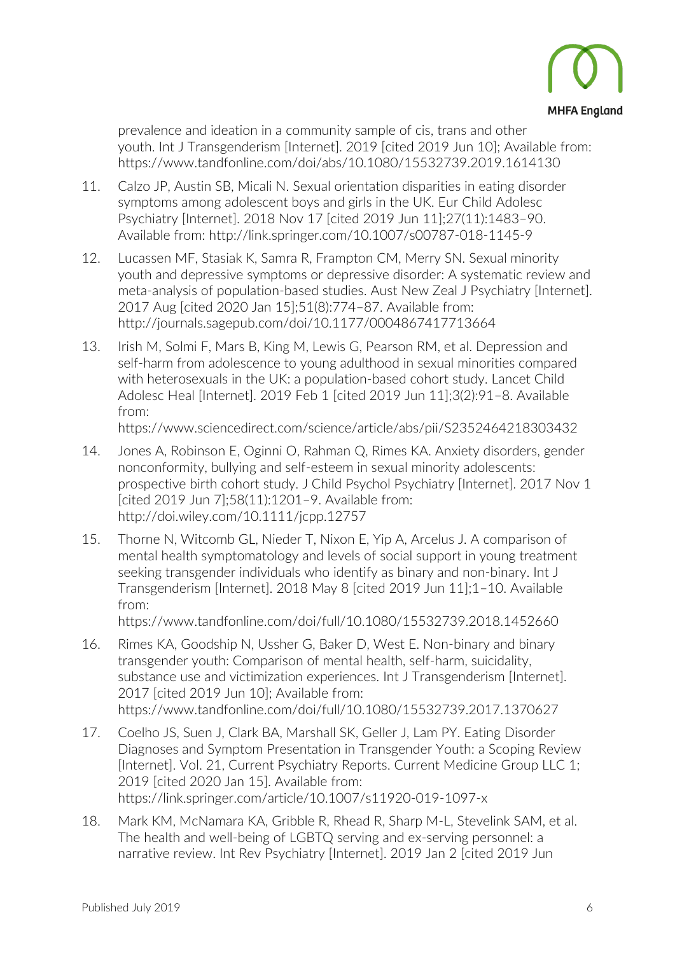

prevalence and ideation in a community sample of cis, trans and other youth. Int J Transgenderism [Internet]. 2019 [cited 2019 Jun 10]; Available from: https://www.tandfonline.com/doi/abs/10.1080/15532739.2019.1614130

- 11. Calzo JP, Austin SB, Micali N. Sexual orientation disparities in eating disorder symptoms among adolescent boys and girls in the UK. Eur Child Adolesc Psychiatry [Internet]. 2018 Nov 17 [cited 2019 Jun 11];27(11):1483–90. Available from: http://link.springer.com/10.1007/s00787-018-1145-9
- 12. Lucassen MF, Stasiak K, Samra R, Frampton CM, Merry SN. Sexual minority youth and depressive symptoms or depressive disorder: A systematic review and meta-analysis of population-based studies. Aust New Zeal J Psychiatry [Internet]. 2017 Aug [cited 2020 Jan 15];51(8):774–87. Available from: http://journals.sagepub.com/doi/10.1177/0004867417713664
- 13. Irish M, Solmi F, Mars B, King M, Lewis G, Pearson RM, et al. Depression and self-harm from adolescence to young adulthood in sexual minorities compared with heterosexuals in the UK: a population-based cohort study. Lancet Child Adolesc Heal [Internet]. 2019 Feb 1 [cited 2019 Jun 11];3(2):91–8. Available from:

https://www.sciencedirect.com/science/article/abs/pii/S2352464218303432

- 14. Jones A, Robinson E, Oginni O, Rahman Q, Rimes KA. Anxiety disorders, gender nonconformity, bullying and self-esteem in sexual minority adolescents: prospective birth cohort study. J Child Psychol Psychiatry [Internet]. 2017 Nov 1 [cited 2019 Jun 7];58(11):1201–9. Available from: http://doi.wiley.com/10.1111/jcpp.12757
- 15. Thorne N, Witcomb GL, Nieder T, Nixon E, Yip A, Arcelus J. A comparison of mental health symptomatology and levels of social support in young treatment seeking transgender individuals who identify as binary and non-binary. Int J Transgenderism [Internet]. 2018 May 8 [cited 2019 Jun 11];1–10. Available from:

https://www.tandfonline.com/doi/full/10.1080/15532739.2018.1452660

- 16. Rimes KA, Goodship N, Ussher G, Baker D, West E. Non-binary and binary transgender youth: Comparison of mental health, self-harm, suicidality, substance use and victimization experiences. Int J Transgenderism [Internet]. 2017 [cited 2019 Jun 10]; Available from: https://www.tandfonline.com/doi/full/10.1080/15532739.2017.1370627
- 17. Coelho JS, Suen J, Clark BA, Marshall SK, Geller J, Lam PY. Eating Disorder Diagnoses and Symptom Presentation in Transgender Youth: a Scoping Review [Internet]. Vol. 21, Current Psychiatry Reports. Current Medicine Group LLC 1; 2019 [cited 2020 Jan 15]. Available from: https://link.springer.com/article/10.1007/s11920-019-1097-x
- 18. Mark KM, McNamara KA, Gribble R, Rhead R, Sharp M-L, Stevelink SAM, et al. The health and well-being of LGBTQ serving and ex-serving personnel: a narrative review. Int Rev Psychiatry [Internet]. 2019 Jan 2 [cited 2019 Jun